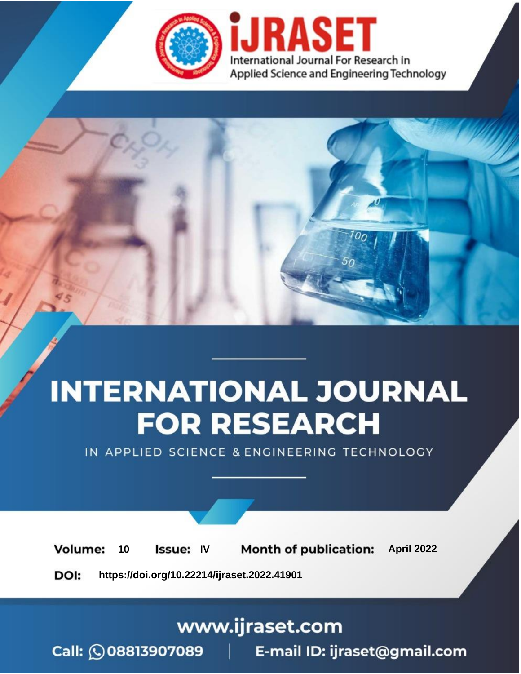

# **INTERNATIONAL JOURNAL FOR RESEARCH**

IN APPLIED SCIENCE & ENGINEERING TECHNOLOGY

10 **Issue: IV Month of publication:** April 2022 **Volume:** 

**https://doi.org/10.22214/ijraset.2022.41901**DOI:

www.ijraset.com

Call: 008813907089 | E-mail ID: ijraset@gmail.com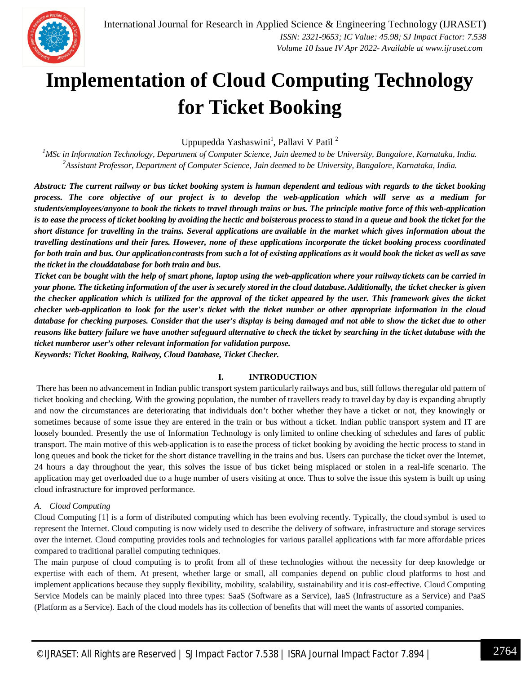

### **Implementation of Cloud Computing Technology for Ticket Booking**

Uppupedda Yashaswini<sup>1</sup>, Pallavi V Patil<sup>2</sup>

*<sup>1</sup>MSc in Information Technology, Department of Computer Science, Jain deemed to be University, Bangalore, Karnataka, India. <sup>2</sup>Assistant Professor, Department of Computer Science, Jain deemed to be University, Bangalore, Karnataka, India.*

*Abstract: The current railway or bus ticket booking system is human dependent and tedious with regards to the ticket booking process. The core objective of our project is to develop the web-application which will serve as a medium for students/employees/anyone to book the tickets to travel through trains or bus. The principle motive force of this web-application* is to ease the process of ticket booking by avoiding the hectic and boisterous process to stand in a queue and book the ticket for the *short distance for travelling in the trains. Several applications are available in the market which gives information about the travelling destinations and their fares. However, none of these applications incorporate the ticket booking process coordinated*  for both train and bus. Our application contrasts from such a lot of existing applications as it would book the ticket as well as save *the ticket in the clouddatabase for both train and bus.*

*Ticket can be bought with the help of smart phone, laptop using the web-application where your railway tickets can be carried in* your phone. The ticketing information of the user is securely stored in the cloud database. Additionally, the ticket checker is given *the checker application which is utilized for the approval of the ticket appeared by the user. This framework gives the ticket checker web-application to look for the user's ticket with the ticket number or other appropriate information in the cloud database for checking purposes. Consider that the user's display is being damaged and not able to show the ticket due to other reasons like battery failure we have another safeguard alternative to check the ticket by searching in the ticket database with the ticket numberor user's other relevant information for validation purpose. Keywords: Ticket Booking, Railway, Cloud Database, Ticket Checker.*

#### **I. INTRODUCTION**

There has been no advancement in Indian public transport system particularly railways and bus, still follows theregular old pattern of ticket booking and checking. With the growing population, the number of travellers ready to travel day by day is expanding abruptly and now the circumstances are deteriorating that individuals don't bother whether they have a ticket or not, they knowingly or sometimes because of some issue they are entered in the train or bus without a ticket. Indian public transport system and IT are loosely bounded. Presently the use of Information Technology is only limited to online checking of schedules and fares of public transport. The main motive of this web-application is to ease the process of ticket booking by avoiding the hectic process to stand in long queues and book the ticket for the short distance travelling in the trains and bus. Users can purchase the ticket over the Internet, 24 hours a day throughout the year, this solves the issue of bus ticket being misplaced or stolen in a real-life scenario. The application may get overloaded due to a huge number of users visiting at once. Thus to solve the issue this system is built up using cloud infrastructure for improved performance.

#### *A. Cloud Computing*

Cloud Computing [1] is a form of distributed computing which has been evolving recently. Typically, the cloud symbol is used to represent the Internet. Cloud computing is now widely used to describe the delivery of software, infrastructure and storage services over the internet. Cloud computing provides tools and technologies for various parallel applications with far more affordable prices compared to traditional parallel computing techniques.

The main purpose of cloud computing is to profit from all of these technologies without the necessity for deep knowledge or expertise with each of them. At present, whether large or small, all companies depend on public cloud platforms to host and implement applications because they supply flexibility, mobility, scalability, sustainability and itis cost-effective. Cloud Computing Service Models can be mainly placed into three types: SaaS (Software as a Service), IaaS (Infrastructure as a Service) and PaaS (Platform as a Service). Each of the cloud models has its collection of benefits that will meet the wants of assorted companies.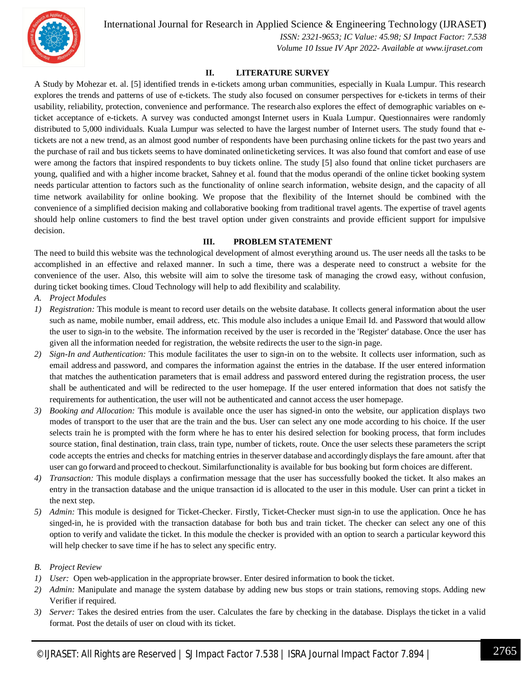International Journal for Research in Applied Science & Engineering Technology (IJRASET**)**



 *ISSN: 2321-9653; IC Value: 45.98; SJ Impact Factor: 7.538 Volume 10 Issue IV Apr 2022- Available at www.ijraset.com*

#### **II. LITERATURE SURVEY**

A Study by Mohezar et. al. [5] identified trends in e-tickets among urban communities, especially in Kuala Lumpur. This research explores the trends and patterns of use of e-tickets. The study also focused on consumer perspectives for e-tickets in terms of their usability, reliability, protection, convenience and performance. The research also explores the effect of demographic variables on eticket acceptance of e-tickets. A survey was conducted amongst Internet users in Kuala Lumpur. Questionnaires were randomly distributed to 5,000 individuals. Kuala Lumpur was selected to have the largest number of Internet users. The study found that etickets are not a new trend, as an almost good number of respondents have been purchasing online tickets for the past two years and the purchase of rail and bus tickets seems to have dominated onlineticketing services. It was also found that comfort and ease of use were among the factors that inspired respondents to buy tickets online. The study [5] also found that online ticket purchasers are young, qualified and with a higher income bracket, Sahney et al. found that the modus operandi of the online ticket booking system needs particular attention to factors such as the functionality of online search information, website design, and the capacity of all time network availability for online booking. We propose that the flexibility of the Internet should be combined with the convenience of a simplified decision making and collaborative booking from traditional travel agents. The expertise of travel agents should help online customers to find the best travel option under given constraints and provide efficient support for impulsive decision.

#### **III. PROBLEM STATEMENT**

The need to build this website was the technological development of almost everything around us. The user needs all the tasks to be accomplished in an effective and relaxed manner. In such a time, there was a desperate need to construct a website for the convenience of the user. Also, this website will aim to solve the tiresome task of managing the crowd easy, without confusion, during ticket booking times. Cloud Technology will help to add flexibility and scalability.

- *A. Project Modules*
- *1) Registration:* This module is meant to record user details on the website database. It collects general information about the user such as name, mobile number, email address, etc. This module also includes a unique Email Id. and Password that would allow the user to sign-in to the website. The information received by the user is recorded in the 'Register' database. Once the user has given all the information needed for registration, the website redirects the user to the sign-in page.
- *2) Sign-In and Authentication:* This module facilitates the user to sign-in on to the website. It collects user information, such as email address and password, and compares the information against the entries in the database. If the user entered information that matches the authentication parameters that is email address and password entered during the registration process, the user shall be authenticated and will be redirected to the user homepage. If the user entered information that does not satisfy the requirements for authentication, the user will not be authenticated and cannot access the user homepage.
- *3) Booking and Allocation:* This module is available once the user has signed-in onto the website, our application displays two modes of transport to the user that are the train and the bus. User can select any one mode according to his choice. If the user selects train he is prompted with the form where he has to enter his desired selection for booking process, that form includes source station, final destination, train class, train type, number of tickets, route. Once the user selects these parameters the script code accepts the entries and checks for matching entries in theserver database and accordingly displays the fare amount. after that user can go forward and proceed to checkout. Similarfunctionality is available for bus booking but form choices are different.
- *4) Transaction:* This module displays a confirmation message that the user has successfully booked the ticket. It also makes an entry in the transaction database and the unique transaction id is allocated to the user in this module. User can print a ticket in the next step.
- *5) Admin:* This module is designed for Ticket-Checker. Firstly, Ticket-Checker must sign-in to use the application. Once he has singed-in, he is provided with the transaction database for both bus and train ticket. The checker can select any one of this option to verify and validate the ticket. In this module the checker is provided with an option to search a particular keyword this will help checker to save time if he has to select any specific entry.
- *B. Project Review*
- *1) User:* Open web-application in the appropriate browser. Enter desired information to book the ticket.
- *2) Admin:* Manipulate and manage the system database by adding new bus stops or train stations, removing stops. Adding new Verifier if required.
- *3) Server:* Takes the desired entries from the user. Calculates the fare by checking in the database. Displays the ticket in a valid format. Post the details of user on cloud with its ticket.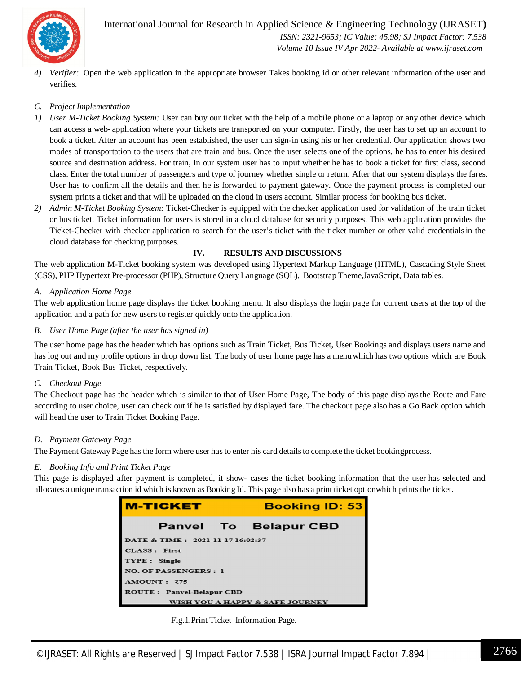

International Journal for Research in Applied Science & Engineering Technology (IJRASET**)**  *ISSN: 2321-9653; IC Value: 45.98; SJ Impact Factor: 7.538*

 *Volume 10 Issue IV Apr 2022- Available at www.ijraset.com*

*4) Verifier:* Open the web application in the appropriate browser Takes booking id or other relevant information of the user and verifies.

#### *C. Project Implementation*

- *1) User M-Ticket Booking System:* User can buy our ticket with the help of a mobile phone or a laptop or any other device which can access a web- application where your tickets are transported on your computer. Firstly, the user has to set up an account to book a ticket. After an account has been established, the user can sign-in using his or her credential. Our application shows two modes of transportation to the users that are train and bus. Once the user selects one of the options, he has to enter his desired source and destination address. For train, In our system user has to input whether he has to book a ticket for first class, second class. Enter the total number of passengers and type of journey whether single or return. After that our system displays the fares. User has to confirm all the details and then he is forwarded to payment gateway. Once the payment process is completed our system prints a ticket and that will be uploaded on the cloud in users account. Similar process for booking bus ticket.
- *2) Admin M-Ticket Booking System:* Ticket-Checker is equipped with the checker application used for validation of the train ticket or bus ticket. Ticket information for users is stored in a cloud database for security purposes. This web application provides the Ticket-Checker with checker application to search for the user's ticket with the ticket number or other valid credentialsin the cloud database for checking purposes.

#### **IV. RESULTS AND DISCUSSIONS**

The web application M-Ticket booking system was developed using Hypertext Markup Language (HTML), Cascading Style Sheet (CSS), PHP Hypertext Pre-processor (PHP), Structure Query Language (SQL), Bootstrap Theme,JavaScript, Data tables.

#### *A. Application Home Page*

The web application home page displays the ticket booking menu. It also displays the login page for current users at the top of the application and a path for new users to register quickly onto the application.

#### *B. User Home Page (after the user has signed in)*

The user home page has the header which has options such as Train Ticket, Bus Ticket, User Bookings and displays users name and has log out and my profile options in drop down list. The body of user home page has a menuwhich has two options which are Book Train Ticket, Book Bus Ticket, respectively.

#### *C. Checkout Page*

The Checkout page has the header which is similar to that of User Home Page, The body of this page displaysthe Route and Fare according to user choice, user can check out if he is satisfied by displayed fare. The checkout page also has a Go Back option which will head the user to Train Ticket Booking Page.

#### *D. Payment Gateway Page*

The Payment Gateway Page has the form where user has to enter his card details to complete the ticket bookingprocess.

#### *E. Booking Info and Print Ticket Page*

This page is displayed after payment is completed, it show- cases the ticket booking information that the user has selected and allocates a unique transaction id which is known as Booking Id. This page also has a print ticket optionwhich prints the ticket.



Fig.1.Print Ticket Information Page.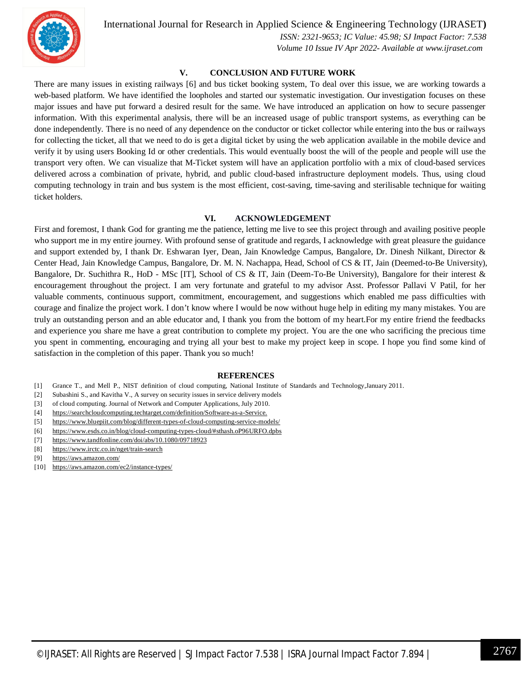

International Journal for Research in Applied Science & Engineering Technology (IJRASET**)**

 *ISSN: 2321-9653; IC Value: 45.98; SJ Impact Factor: 7.538 Volume 10 Issue IV Apr 2022- Available at www.ijraset.com*

#### **V. CONCLUSION AND FUTURE WORK**

There are many issues in existing railways [6] and bus ticket booking system, To deal over this issue, we are working towards a web-based platform. We have identified the loopholes and started our systematic investigation. Our investigation focuses on these major issues and have put forward a desired result for the same. We have introduced an application on how to secure passenger information. With this experimental analysis, there will be an increased usage of public transport systems, as everything can be done independently. There is no need of any dependence on the conductor or ticket collector while entering into the bus or railways for collecting the ticket, all that we need to do is get a digital ticket by using the web application available in the mobile device and verify it by using users Booking Id or other credentials. This would eventually boost the will of the people and people will use the transport very often. We can visualize that M-Ticket system will have an application portfolio with a mix of cloud-based services delivered across a combination of private, hybrid, and public cloud-based infrastructure deployment models. Thus, using cloud computing technology in train and bus system is the most efficient, cost-saving, time-saving and sterilisable technique for waiting ticket holders.

#### **VI. ACKNOWLEDGEMENT**

First and foremost, I thank God for granting me the patience, letting me live to see this project through and availing positive people who support me in my entire journey. With profound sense of gratitude and regards, I acknowledge with great pleasure the guidance and support extended by, I thank Dr. Eshwaran Iyer, Dean, Jain Knowledge Campus, Bangalore, Dr. Dinesh Nilkant, Director & Center Head, Jain Knowledge Campus, Bangalore, Dr. M. N. Nachappa, Head, School of CS & IT, Jain (Deemed-to-Be University), Bangalore, Dr. Suchithra R., HoD - MSc [IT], School of CS & IT, Jain (Deem-To-Be University), Bangalore for their interest & encouragement throughout the project. I am very fortunate and grateful to my advisor Asst. Professor Pallavi V Patil, for her valuable comments, continuous support, commitment, encouragement, and suggestions which enabled me pass difficulties with courage and finalize the project work. I don't know where I would be now without huge help in editing my many mistakes. You are truly an outstanding person and an able educator and, I thank you from the bottom of my heart.For my entire friend the feedbacks and experience you share me have a great contribution to complete my project. You are the one who sacrificing the precious time you spent in commenting, encouraging and trying all your best to make my project keep in scope. I hope you find some kind of satisfaction in the completion of this paper. Thank you so much!

#### **REFERENCES**

- [1] Grance T., and Mell P., NIST definition of cloud computing, National Institute of Standards and Technology,January 2011.
- [2] Subashini S., and Kavitha V., A survey on security issues in service delivery models
- [3] of cloud computing. Journal of Network and Computer Applications, July 2010.
- [4] https://searchcloudcomputing.techtarget.com/definition/Software-as-a-Service.
- [5] https://www.bluepiit.com/blog/different-types-of-cloud-computing-service-models/
- [6] https://www.esds.co.in/blog/cloud-computing-types-cloud/#sthash.oP96URFO.dpbs
- [7] https://www.tandfonline.com/doi/abs/10.1080/09718923
- [8] https://www.irctc.co.in/nget/train-search
- [9] https://aws.amazon.com/
- [10] https://aws.amazon.com/ec2/instance-types/